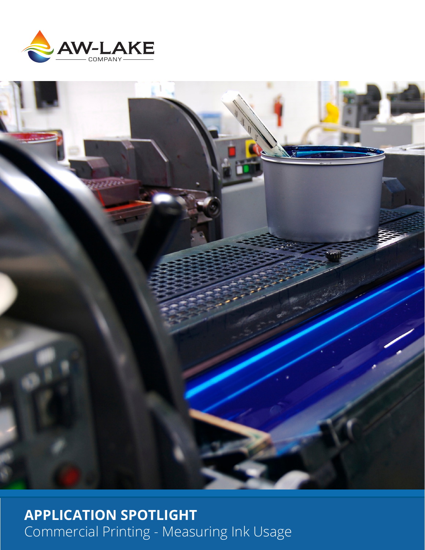



**APPLICATION SPOTLIGHT** Commercial Printing - Measuring Ink Usage